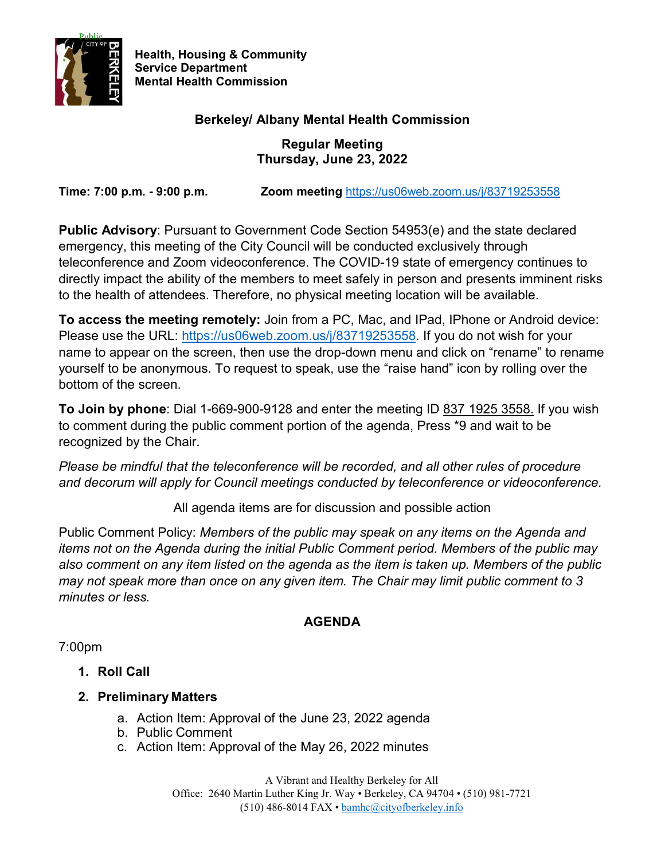

**Health, Housing & Community Service Department Mental Health Commission**

# **Berkeley/ Albany Mental Health Commission**

**Regular Meeting Thursday, June 23, 2022** 

**Time: 7:00 p.m. - 9:00 p.m. Zoom meeting** <https://us06web.zoom.us/j/83719253558>

**Public Advisory**: Pursuant to Government Code Section 54953(e) and the state declared emergency, this meeting of the City Council will be conducted exclusively through teleconference and Zoom videoconference. The COVID-19 state of emergency continues to directly impact the ability of the members to meet safely in person and presents imminent risks to the health of attendees. Therefore, no physical meeting location will be available.

**To access the meeting remotely:** Join from a PC, Mac, and IPad, IPhone or Android device: Please use the URL: [https://us06web.zoom.us/j/83719253558.](https://us06web.zoom.us/j/83719253558) If you do not wish for your name to appear on the screen, then use the drop-down menu and click on "rename" to rename yourself to be anonymous. To request to speak, use the "raise hand" icon by rolling over the bottom of the screen.

**To Join by phone**: Dial 1-669-900-9128 and enter the meeting ID 837 1925 3558. If you wish to comment during the public comment portion of the agenda, Press \*9 and wait to be recognized by the Chair.

*Please be mindful that the teleconference will be recorded, and all other rules of procedure and decorum will apply for Council meetings conducted by teleconference or videoconference.* 

All agenda items are for discussion and possible action

Public Comment Policy: *Members of the public may speak on any items on the Agenda and items not on the Agenda during the initial Public Comment period. Members of the public may also comment on any item listed on the agenda as the item is taken up. Members of the public may not speak more than once on any given item. The Chair may limit public comment to 3 minutes or less.*

## **AGENDA**

7:00pm

- **1. Roll Call**
- **2. Preliminary Matters**
	- a. Action Item: Approval of the June 23, 2022 agenda
	- b. Public Comment
	- c. Action Item: Approval of the May 26, 2022 minutes

A Vibrant and Healthy Berkeley for All Office: 2640 Martin Luther King Jr. Way • Berkeley, CA 94704 • (510) 981-7721 (510) 486-8014 FAX [• bamhc@cityofberkeley.info](mailto:bamhc@cityofberkeley.info)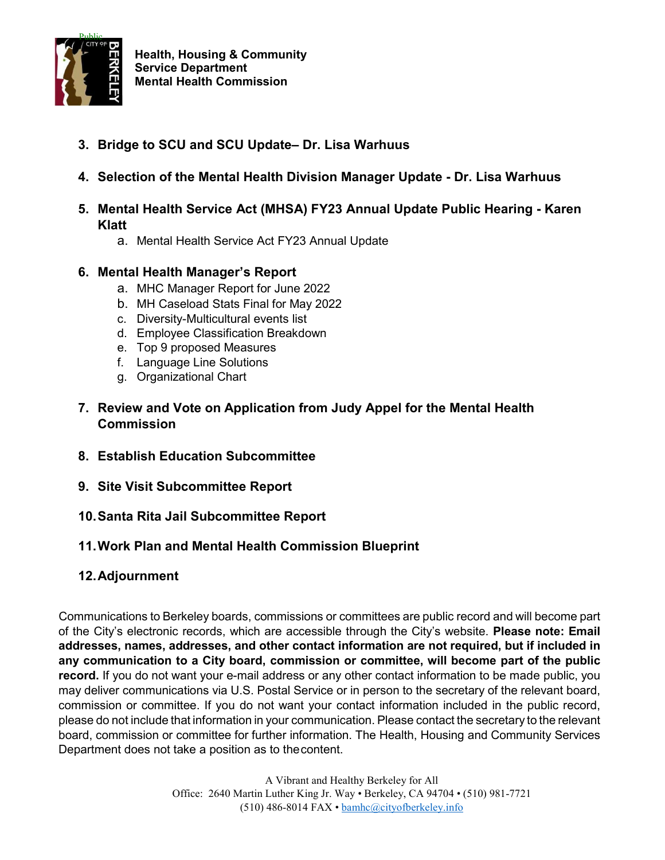

- **3. Bridge to SCU and SCU Update– Dr. Lisa Warhuus**
- **4. Selection of the Mental Health Division Manager Update - Dr. Lisa Warhuus**
- **5. Mental Health Service Act (MHSA) FY23 Annual Update Public Hearing - Karen Klatt**
	- a. Mental Health Service Act FY23 Annual Update
- **6. Mental Health Manager's Report**
	- a. MHC Manager Report for June 2022
	- b. MH Caseload Stats Final for May 2022
	- c. Diversity-Multicultural events list
	- d. Employee Classification Breakdown
	- e. Top 9 proposed Measures
	- f. Language Line Solutions
	- g. Organizational Chart
- **7. Review and Vote on Application from Judy Appel for the Mental Health Commission**
- **8. Establish Education Subcommittee**
- **9. Site Visit Subcommittee Report**
- **10.Santa Rita Jail Subcommittee Report**

## **11.Work Plan and Mental Health Commission Blueprint**

## **12.Adjournment**

Communications to Berkeley boards, commissions or committees are public record and will become part of the City's electronic records, which are accessible through the City's website. **Please note: Email addresses, names, addresses, and other contact information are not required, but if included in any communication to a City board, commission or committee, will become part of the public record.** If you do not want your e-mail address or any other contact information to be made public, you may deliver communications via U.S. Postal Service or in person to the secretary of the relevant board, commission or committee. If you do not want your contact information included in the public record, please do not include that information in your communication. Please contact the secretary to the relevant board, commission or committee for further information. The Health, Housing and Community Services Department does not take a position as to thecontent.